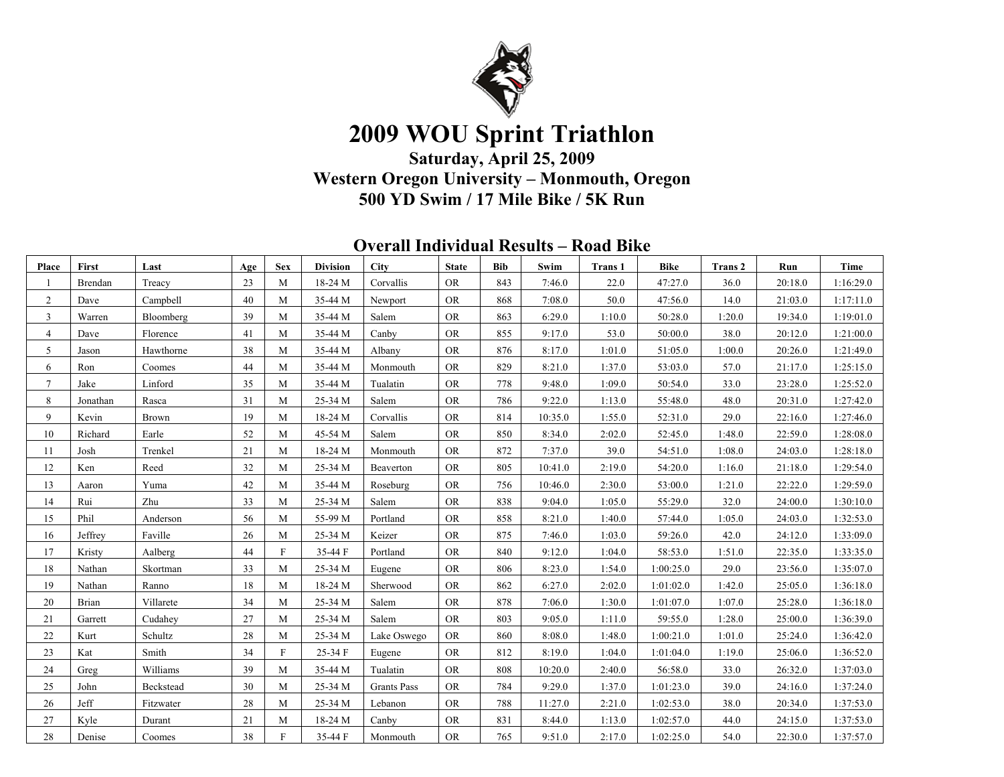

# **2009 WOU Sprint Triathlon**

**Saturday, April 25, 2009 Western Oregon University – Monmouth, Oregon 500 YD Swim / 17 Mile Bike / 5K Run**

| <b>Overall Individual Results – Road Bike</b> |
|-----------------------------------------------|
|-----------------------------------------------|

| Place          | First    | Last      | Age | <b>Sex</b>   | <b>Division</b> | <b>City</b>        | <b>State</b> | <b>Bib</b> | Swim    | <b>Trans 1</b> | <b>Bike</b> | <b>Trans 2</b> | Run     | <b>Time</b> |
|----------------|----------|-----------|-----|--------------|-----------------|--------------------|--------------|------------|---------|----------------|-------------|----------------|---------|-------------|
|                | Brendan  | Treacy    | 23  | M            | 18-24 M         | Corvallis          | <b>OR</b>    | 843        | 7:46.0  | 22.0           | 47:27.0     | 36.0           | 20:18.0 | 1:16:29.0   |
| $\overline{2}$ | Dave     | Campbell  | 40  | M            | 35-44 M         | Newport            | <b>OR</b>    | 868        | 7:08.0  | 50.0           | 47:56.0     | 14.0           | 21:03.0 | 1:17:11.0   |
| $\mathbf{3}$   | Warren   | Bloomberg | 39  | M            | 35-44 M         | Salem              | <b>OR</b>    | 863        | 6:29.0  | 1:10.0         | 50:28.0     | 1:20.0         | 19:34.0 | 1:19:01.0   |
| $\overline{4}$ | Dave     | Florence  | 41  | M            | 35-44 M         | Canby              | <b>OR</b>    | 855        | 9:17.0  | 53.0           | 50:00.0     | 38.0           | 20:12.0 | 1:21:00.0   |
| 5              | Jason    | Hawthorne | 38  | M            | 35-44 M         | Albany             | <b>OR</b>    | 876        | 8:17.0  | 1:01.0         | 51:05.0     | 1:00.0         | 20:26.0 | 1:21:49.0   |
| 6              | Ron      | Coomes    | 44  | M            | 35-44 M         | Monmouth           | <b>OR</b>    | 829        | 8:21.0  | 1:37.0         | 53:03.0     | 57.0           | 21:17.0 | 1:25:15.0   |
| $\tau$         | Jake     | Linford   | 35  | M            | 35-44 M         | Tualatin           | <b>OR</b>    | 778        | 9:48.0  | 1:09.0         | 50:54.0     | 33.0           | 23:28.0 | 1:25:52.0   |
| 8              | Jonathan | Rasca     | 31  | M            | 25-34 M         | Salem              | <b>OR</b>    | 786        | 9:22.0  | 1:13.0         | 55:48.0     | 48.0           | 20:31.0 | 1:27:42.0   |
| 9              | Kevin    | Brown     | 19  | M            | 18-24 M         | Corvallis          | <b>OR</b>    | 814        | 10:35.0 | 1:55.0         | 52:31.0     | 29.0           | 22:16.0 | 1:27:46.0   |
| 10             | Richard  | Earle     | 52  | M            | 45-54 M         | Salem              | <b>OR</b>    | 850        | 8:34.0  | 2:02.0         | 52:45.0     | 1:48.0         | 22:59.0 | 1:28:08.0   |
| 11             | Josh     | Trenkel   | 21  | M            | 18-24 M         | Monmouth           | <b>OR</b>    | 872        | 7:37.0  | 39.0           | 54:51.0     | 1:08.0         | 24:03.0 | 1:28:18.0   |
| 12             | Ken      | Reed      | 32  | M            | 25-34 M         | Beaverton          | <b>OR</b>    | 805        | 10:41.0 | 2:19.0         | 54:20.0     | 1:16.0         | 21:18.0 | 1:29:54.0   |
| 13             | Aaron    | Yuma      | 42  | M            | 35-44 M         | Roseburg           | <b>OR</b>    | 756        | 10:46.0 | 2:30.0         | 53:00.0     | 1:21.0         | 22:22.0 | 1:29:59.0   |
| 14             | Rui      | Zhu       | 33  | M            | 25-34 M         | Salem              | <b>OR</b>    | 838        | 9:04.0  | 1:05.0         | 55:29.0     | 32.0           | 24:00.0 | 1:30:10.0   |
| 15             | Phil     | Anderson  | 56  | M            | 55-99 M         | Portland           | <b>OR</b>    | 858        | 8:21.0  | 1:40.0         | 57:44.0     | 1:05.0         | 24:03.0 | 1:32:53.0   |
| 16             | Jeffrey  | Faville   | 26  | M            | 25-34 M         | Keizer             | <b>OR</b>    | 875        | 7:46.0  | 1:03.0         | 59:26.0     | 42.0           | 24:12.0 | 1:33:09.0   |
| 17             | Kristy   | Aalberg   | 44  | $\mathbf F$  | 35-44 F         | Portland           | <b>OR</b>    | 840        | 9:12.0  | 1:04.0         | 58:53.0     | 1:51.0         | 22:35.0 | 1:33:35.0   |
| 18             | Nathan   | Skortman  | 33  | M            | 25-34 M         | Eugene             | <b>OR</b>    | 806        | 8:23.0  | 1:54.0         | 1:00:25.0   | 29.0           | 23:56.0 | 1:35:07.0   |
| 19             | Nathan   | Ranno     | 18  | M            | 18-24 M         | Sherwood           | <b>OR</b>    | 862        | 6:27.0  | 2:02.0         | 1:01:02.0   | 1:42.0         | 25:05.0 | 1:36:18.0   |
| 20             | Brian    | Villarete | 34  | M            | 25-34 M         | Salem              | <b>OR</b>    | 878        | 7:06.0  | 1:30.0         | 1:01:07.0   | 1:07.0         | 25:28.0 | 1:36:18.0   |
| 21             | Garrett  | Cudahev   | 27  | M            | 25-34 M         | Salem              | <b>OR</b>    | 803        | 9:05.0  | 1:11.0         | 59:55.0     | 1:28.0         | 25:00.0 | 1:36:39.0   |
| 22             | Kurt     | Schultz   | 28  | M            | 25-34 M         | Lake Oswego        | <b>OR</b>    | 860        | 8:08.0  | 1:48.0         | 1:00:21.0   | 1:01.0         | 25:24.0 | 1:36:42.0   |
| 23             | Kat      | Smith     | 34  | $\mathbf{F}$ | 25-34 F         | Eugene             | <b>OR</b>    | 812        | 8:19.0  | 1:04.0         | 1:01:04.0   | 1:19.0         | 25:06.0 | 1:36:52.0   |
| 24             | Greg     | Williams  | 39  | M            | 35-44 M         | Tualatin           | <b>OR</b>    | 808        | 10:20.0 | 2:40.0         | 56:58.0     | 33.0           | 26:32.0 | 1:37:03.0   |
| 25             | John     | Beckstead | 30  | M            | 25-34 M         | <b>Grants Pass</b> | <b>OR</b>    | 784        | 9:29.0  | 1:37.0         | 1:01:23.0   | 39.0           | 24:16.0 | 1:37:24.0   |
| 26             | Jeff     | Fitzwater | 28  | M            | 25-34 M         | Lebanon            | <b>OR</b>    | 788        | 11:27.0 | 2:21.0         | 1:02:53.0   | 38.0           | 20:34.0 | 1:37:53.0   |
| 27             | Kyle     | Durant    | 21  | M            | 18-24 M         | Canby              | <b>OR</b>    | 831        | 8:44.0  | 1:13.0         | 1:02:57.0   | 44.0           | 24:15.0 | 1:37:53.0   |
| 28             | Denise   | Coomes    | 38  | $\mathbf{F}$ | 35-44 F         | Monmouth           | <b>OR</b>    | 765        | 9:51.0  | 2:17.0         | 1:02:25.0   | 54.0           | 22:30.0 | 1:37:57.0   |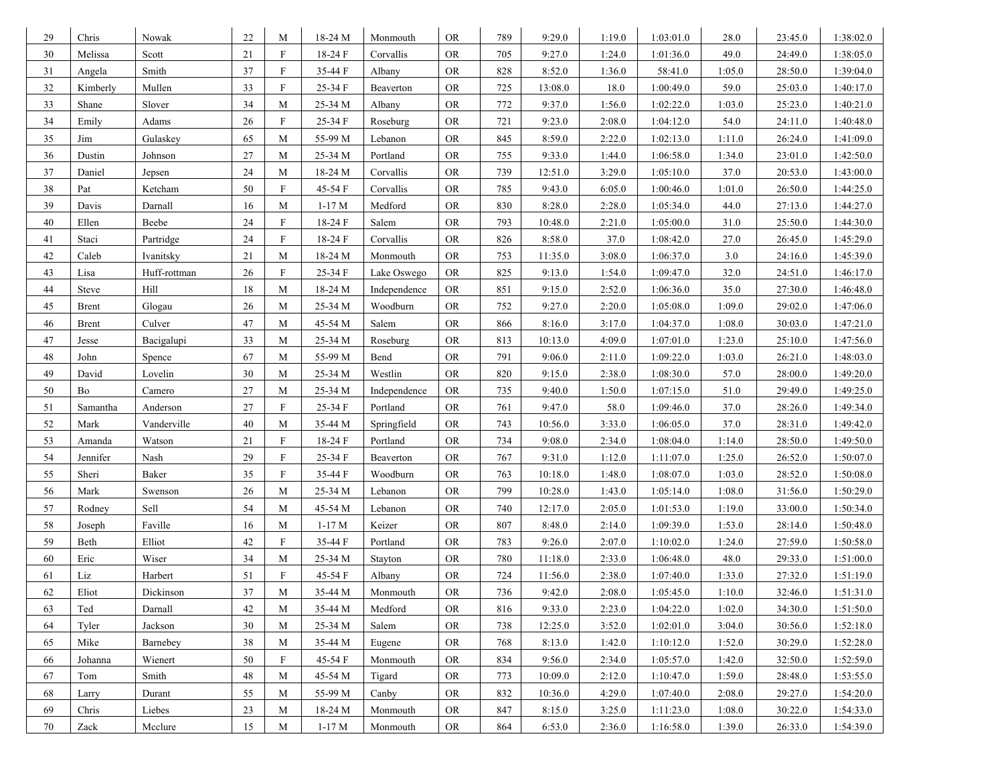| 29     | Chris                 | Nowak        | 22 | M                         | 18-24 M | Monmouth     | <b>OR</b>  | 789 | 9:29.0  | 1:19.0 | 1:03:01.0 | 28.0   | 23:45.0 | 1:38:02.0 |
|--------|-----------------------|--------------|----|---------------------------|---------|--------------|------------|-----|---------|--------|-----------|--------|---------|-----------|
| 30     | Melissa               | Scott        | 21 | $\mathbf F$               | 18-24 F | Corvallis    | <b>OR</b>  | 705 | 9:27.0  | 1:24.0 | 1:01:36.0 | 49.0   | 24:49.0 | 1:38:05.0 |
| 31     | Angela                | Smith        | 37 | $\mathbf F$               | 35-44 F | Albany       | <b>OR</b>  | 828 | 8:52.0  | 1:36.0 | 58:41.0   | 1:05.0 | 28:50.0 | 1:39:04.0 |
| 32     | Kimberly              | Mullen       | 33 | $\boldsymbol{\mathrm{F}}$ | 25-34 F | Beaverton    | OR.        | 725 | 13:08.0 | 18.0   | 1:00:49.0 | 59.0   | 25:03.0 | 1:40:17.0 |
| 33     | Shane                 | Slover       | 34 | M                         | 25-34 M | Albany       | <b>OR</b>  | 772 | 9:37.0  | 1:56.0 | 1:02:22.0 | 1:03.0 | 25:23.0 | 1:40:21.0 |
| 34     | Emily                 | Adams        | 26 | $\rm F$                   | 25-34 F | Roseburg     | <b>OR</b>  | 721 | 9:23.0  | 2:08.0 | 1:04:12.0 | 54.0   | 24:11.0 | 1:40:48.0 |
| 35     | Jim                   | Gulaskey     | 65 | M                         | 55-99 M | Lebanon      | <b>OR</b>  | 845 | 8:59.0  | 2:22.0 | 1:02:13.0 | 1:11.0 | 26:24.0 | 1:41:09.0 |
| 36     | Dustin                | Johnson      | 27 | M                         | 25-34 M | Portland     | <b>OR</b>  | 755 | 9:33.0  | 1:44.0 | 1:06:58.0 | 1:34.0 | 23:01.0 | 1:42:50.0 |
| 37     | Daniel                | Jepsen       | 24 | M                         | 18-24 M | Corvallis    | <b>OR</b>  | 739 | 12:51.0 | 3:29.0 | 1:05:10.0 | 37.0   | 20:53.0 | 1:43:00.0 |
| 38     | Pat                   | Ketcham      | 50 | $\boldsymbol{\mathrm{F}}$ | 45-54 F | Corvallis    | ${\rm OR}$ | 785 | 9:43.0  | 6:05.0 | 1:00:46.0 | 1:01.0 | 26:50.0 | 1:44:25.0 |
| 39     | Davis                 | Darnall      | 16 | M                         | $1-17M$ | Medford      | <b>OR</b>  | 830 | 8:28.0  | 2:28.0 | 1:05:34.0 | 44.0   | 27:13.0 | 1:44:27.0 |
| 40     | Ellen                 | Beebe        | 24 | $\boldsymbol{\mathrm{F}}$ | 18-24 F | Salem        | <b>OR</b>  | 793 | 10:48.0 | 2:21.0 | 1:05:00.0 | 31.0   | 25:50.0 | 1:44:30.0 |
| 41     | Staci                 | Partridge    | 24 | $\mathbf F$               | 18-24 F | Corvallis    | <b>OR</b>  | 826 | 8:58.0  | 37.0   | 1:08:42.0 | 27.0   | 26:45.0 | 1:45:29.0 |
| 42     | Caleb                 | Ivanitsky    | 21 | M                         | 18-24 M | Monmouth     | <b>OR</b>  | 753 | 11:35.0 | 3:08.0 | 1:06:37.0 | 3.0    | 24:16.0 | 1:45:39.0 |
| 43     | Lisa                  | Huff-rottman | 26 | $\mathbf F$               | 25-34 F | Lake Oswego  | <b>OR</b>  | 825 | 9:13.0  | 1:54.0 | 1:09:47.0 | 32.0   | 24:51.0 | 1:46:17.0 |
| 44     | <b>Steve</b>          | Hill         | 18 | M                         | 18-24 M | Independence | <b>OR</b>  | 851 | 9:15.0  | 2:52.0 | 1:06:36.0 | 35.0   | 27:30.0 | 1:46:48.0 |
| 45     | <b>Brent</b>          | Glogau       | 26 | M                         | 25-34 M | Woodburn     | <b>OR</b>  | 752 | 9:27.0  | 2:20.0 | 1:05:08.0 | 1:09.0 | 29:02.0 | 1:47:06.0 |
| 46     | <b>Brent</b>          | Culver       | 47 | M                         | 45-54 M | Salem        | <b>OR</b>  | 866 | 8:16.0  | 3:17.0 | 1:04:37.0 | 1:08.0 | 30:03.0 | 1:47:21.0 |
| 47     | Jesse                 | Bacigalupi   | 33 | M                         | 25-34 M | Roseburg     | <b>OR</b>  | 813 | 10:13.0 | 4:09.0 | 1:07:01.0 | 1:23.0 | 25:10.0 | 1:47:56.0 |
| 48     | John                  | Spence       | 67 | M                         | 55-99 M | Bend         | <b>OR</b>  | 791 | 9:06.0  | 2:11.0 | 1:09:22.0 | 1:03.0 | 26:21.0 | 1:48:03.0 |
| 49     | David                 | Lovelin      | 30 | M                         | 25-34 M | Westlin      | <b>OR</b>  | 820 | 9:15.0  | 2:38.0 | 1:08:30.0 | 57.0   | 28:00.0 | 1:49:20.0 |
| 50     | Bo                    | Camero       | 27 | M                         | 25-34 M | Independence | <b>OR</b>  | 735 | 9:40.0  | 1:50.0 | 1:07:15.0 | 51.0   | 29:49.0 | 1:49:25.0 |
| 51     | Samantha              | Anderson     | 27 | $\boldsymbol{\mathrm{F}}$ | 25-34 F | Portland     | <b>OR</b>  | 761 | 9:47.0  | 58.0   | 1:09:46.0 | 37.0   | 28:26.0 | 1:49:34.0 |
| 52     | Mark                  | Vanderville  | 40 | M                         | 35-44 M | Springfield  | <b>OR</b>  | 743 | 10:56.0 | 3:33.0 | 1:06:05.0 | 37.0   | 28:31.0 | 1:49:42.0 |
| 53     | Amanda                | Watson       | 21 | $\boldsymbol{\mathrm{F}}$ | 18-24 F | Portland     | <b>OR</b>  | 734 | 9:08.0  | 2:34.0 | 1:08:04.0 | 1:14.0 | 28:50.0 | 1:49:50.0 |
| 54     | Jennifer              | Nash         | 29 | $\mathbf F$               | 25-34 F | Beaverton    | <b>OR</b>  | 767 | 9:31.0  | 1:12.0 | 1:11:07.0 | 1:25.0 | 26:52.0 | 1:50:07.0 |
| 55     | Sheri                 | Baker        | 35 | ${\bf F}$                 | 35-44 F | Woodburn     | <b>OR</b>  | 763 | 10:18.0 | 1:48.0 | 1:08:07.0 | 1:03.0 | 28:52.0 | 1:50:08.0 |
| 56     | Mark                  | Swenson      | 26 | M                         | 25-34 M | Lebanon      | <b>OR</b>  | 799 | 10:28.0 | 1:43.0 | 1:05:14.0 | 1:08.0 | 31:56.0 | 1:50:29.0 |
| 57     | Rodney                | Sell         | 54 | M                         | 45-54 M | Lebanon      | OR.        | 740 | 12:17.0 | 2:05.0 | 1:01:53.0 | 1:19.0 | 33:00.0 | 1:50:34.0 |
| 58     | Joseph                | Faville      | 16 | M                         | $1-17M$ | Keizer       | <b>OR</b>  | 807 | 8:48.0  | 2:14.0 | 1:09:39.0 | 1:53.0 | 28:14.0 | 1:50:48.0 |
| 59     | Beth                  | Elliot       | 42 | $\mathbf F$               | 35-44 F | Portland     | <b>OR</b>  | 783 | 9:26.0  | 2:07.0 | 1:10:02.0 | 1:24.0 | 27:59.0 | 1:50:58.0 |
| 60     | Eric                  | Wiser        | 34 | M                         | 25-34 M | Stayton      | <b>OR</b>  | 780 | 11:18.0 | 2:33.0 | 1:06:48.0 | 48.0   | 29:33.0 | 1:51:00.0 |
| 61     | Liz                   | Harbert      | 51 | $\boldsymbol{\mathrm{F}}$ | 45-54 F | Albany       | <b>OR</b>  | 724 | 11:56.0 | 2:38.0 | 1:07:40.0 | 1:33.0 | 27:32.0 | 1:51:19.0 |
| 62     | Eliot                 | Dickinson    | 37 | M                         | 35-44 M | Monmouth     | <b>OR</b>  | 736 | 9:42.0  | 2:08.0 | 1:05:45.0 | 1:10.0 | 32:46.0 | 1:51:31.0 |
| 63     | Ted                   | Darnall      | 42 | M                         | 35-44 M | Medford      | <b>OR</b>  | 816 | 9:33.0  | 2:23.0 | 1:04:22.0 | 1:02.0 | 34:30.0 | 1:51:50.0 |
| 64     | Tyler                 | Jackson      | 30 | M                         | 25-34 M | Salem        | <b>OR</b>  | 738 | 12:25.0 | 3:52.0 | 1:02:01.0 | 3:04.0 | 30:56.0 | 1:52:18.0 |
| 65     | Mike                  | Barnebey     | 38 | M                         | 35-44 M | Eugene       | <b>OR</b>  | 768 | 8:13.0  | 1:42.0 | 1:10:12.0 | 1:52.0 | 30:29.0 | 1:52:28.0 |
| 66     | Johanna               | Wienert      | 50 | $\boldsymbol{\mathrm{F}}$ | 45-54 F | Monmouth     | <b>OR</b>  | 834 | 9:56.0  | 2:34.0 | 1:05:57.0 | 1:42.0 | 32:50.0 | 1:52:59.0 |
| 67     | Tom                   | Smith        | 48 | M                         | 45-54 M | Tigard       | <b>OR</b>  | 773 | 10:09.0 | 2:12.0 | 1:10:47.0 | 1:59.0 | 28:48.0 | 1:53:55.0 |
| 68     | Larry                 | Durant       | 55 | M                         | 55-99 M | Canby        | <b>OR</b>  | 832 | 10:36.0 | 4:29.0 | 1:07:40.0 | 2:08.0 | 29:27.0 | 1:54:20.0 |
| 69     | Chris                 | Liebes       | 23 | M                         | 18-24 M | Monmouth     | OR.        | 847 | 8:15.0  | 3:25.0 | 1:11:23.0 | 1:08.0 | 30:22.0 | 1:54:33.0 |
| $70\,$ | $\operatorname{Zack}$ | Mcclure      | 15 | M                         | $1-17M$ | Monmouth     | <b>OR</b>  | 864 | 6:53.0  | 2:36.0 | 1:16:58.0 | 1:39.0 | 26:33.0 | 1:54:39.0 |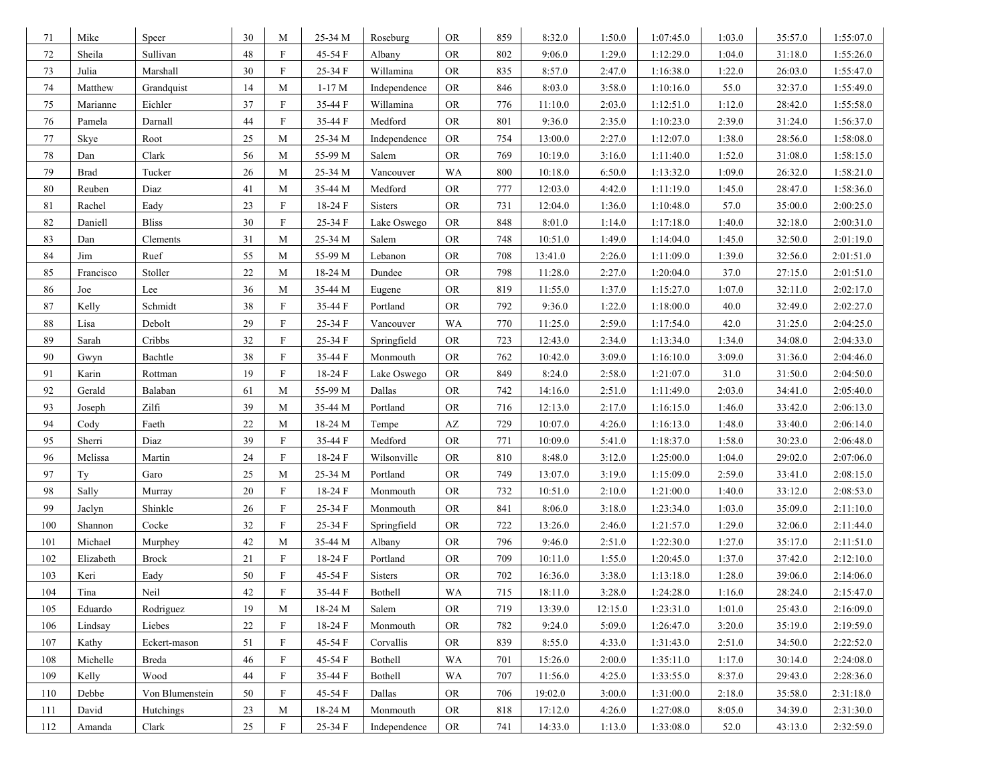| 71     | Mike        | Speer            | 30     | M                         | 25-34 M | Roseburg     | <b>OR</b> | 859 | 8:32.0  | 1:50.0  | 1:07:45.0 | 1:03.0 | 35:57.0 | 1:55:07.0 |
|--------|-------------|------------------|--------|---------------------------|---------|--------------|-----------|-----|---------|---------|-----------|--------|---------|-----------|
| $72\,$ | Sheila      | Sullivan         | 48     | $\mathbf F$               | 45-54 F | Albany       | <b>OR</b> | 802 | 9:06.0  | 1:29.0  | 1:12:29.0 | 1:04.0 | 31:18.0 | 1:55:26.0 |
| 73     | Julia       | Marshall         | 30     | $\mathbf F$               | 25-34 F | Willamina    | OR.       | 835 | 8:57.0  | 2:47.0  | 1:16:38.0 | 1:22.0 | 26:03.0 | 1:55:47.0 |
| 74     | Matthew     | Grandquist       | 14     | M                         | $1-17M$ | Independence | <b>OR</b> | 846 | 8:03.0  | 3:58.0  | 1:10:16.0 | 55.0   | 32:37.0 | 1:55:49.0 |
| $75\,$ | Marianne    | Eichler          | 37     | $\boldsymbol{\mathrm{F}}$ | 35-44 F | Willamina    | <b>OR</b> | 776 | 11:10.0 | 2:03.0  | 1:12:51.0 | 1:12.0 | 28:42.0 | 1:55:58.0 |
| 76     | Pamela      | Darnall          | 44     | $\boldsymbol{\mathrm{F}}$ | 35-44 F | Medford      | <b>OR</b> | 801 | 9:36.0  | 2:35.0  | 1:10:23.0 | 2:39.0 | 31:24.0 | 1:56:37.0 |
| 77     | Skye        | Root             | 25     | M                         | 25-34 M | Independence | <b>OR</b> | 754 | 13:00.0 | 2:27.0  | 1:12:07.0 | 1:38.0 | 28:56.0 | 1:58:08.0 |
| 78     | Dan         | Clark            | 56     | M                         | 55-99 M | Salem        | <b>OR</b> | 769 | 10:19.0 | 3:16.0  | 1:11:40.0 | 1:52.0 | 31:08.0 | 1:58:15.0 |
| 79     | <b>Brad</b> | Tucker           | 26     | M                         | 25-34 M | Vancouver    | WA        | 800 | 10:18.0 | 6:50.0  | 1:13:32.0 | 1:09.0 | 26:32.0 | 1:58:21.0 |
| 80     | Reuben      | Diaz             | 41     | M                         | 35-44 M | Medford      | <b>OR</b> | 777 | 12:03.0 | 4:42.0  | 1:11:19.0 | 1:45.0 | 28:47.0 | 1:58:36.0 |
| 81     | Rachel      | Eady             | 23     | $\boldsymbol{\mathrm{F}}$ | 18-24 F | Sisters      | <b>OR</b> | 731 | 12:04.0 | 1:36.0  | 1:10:48.0 | 57.0   | 35:00.0 | 2:00:25.0 |
| 82     | Daniell     | <b>Bliss</b>     | 30     | $\boldsymbol{\mathrm{F}}$ | 25-34 F | Lake Oswego  | <b>OR</b> | 848 | 8:01.0  | 1:14.0  | 1:17:18.0 | 1:40.0 | 32:18.0 | 2:00:31.0 |
| 83     | Dan         | Clements         | 31     | M                         | 25-34 M | Salem        | <b>OR</b> | 748 | 10:51.0 | 1:49.0  | 1:14:04.0 | 1:45.0 | 32:50.0 | 2:01:19.0 |
| 84     | Jim         | Ruef             | 55     | M                         | 55-99 M | Lebanon      | <b>OR</b> | 708 | 13:41.0 | 2:26.0  | 1:11:09.0 | 1:39.0 | 32:56.0 | 2:01:51.0 |
| 85     | Francisco   | Stoller          | 22     | M                         | 18-24 M | Dundee       | <b>OR</b> | 798 | 11:28.0 | 2:27.0  | 1:20:04.0 | 37.0   | 27:15.0 | 2:01:51.0 |
| 86     | Joe         | Lee              | 36     | M                         | 35-44 M | Eugene       | <b>OR</b> | 819 | 11:55.0 | 1:37.0  | 1:15:27.0 | 1:07.0 | 32:11.0 | 2:02:17.0 |
| 87     | Kelly       | Schmidt          | 38     | $\boldsymbol{\mathrm{F}}$ | 35-44 F | Portland     | <b>OR</b> | 792 | 9:36.0  | 1:22.0  | 1:18:00.0 | 40.0   | 32:49.0 | 2:02:27.0 |
| 88     | Lisa        | Debolt           | 29     | $\boldsymbol{\mathrm{F}}$ | 25-34 F | Vancouver    | WA        | 770 | 11:25.0 | 2:59.0  | 1:17:54.0 | 42.0   | 31:25.0 | 2:04:25.0 |
| 89     | Sarah       | Cribbs           | 32     | $\mathbf F$               | 25-34 F | Springfield  | <b>OR</b> | 723 | 12:43.0 | 2:34.0  | 1:13:34.0 | 1:34.0 | 34:08.0 | 2:04:33.0 |
| 90     | Gwyn        | Bachtle          | 38     | $\mathbf F$               | 35-44 F | Monmouth     | <b>OR</b> | 762 | 10:42.0 | 3:09.0  | 1:16:10.0 | 3:09.0 | 31:36.0 | 2:04:46.0 |
| 91     | Karin       | Rottman          | 19     | $\boldsymbol{\mathrm{F}}$ | 18-24 F | Lake Oswego  | <b>OR</b> | 849 | 8:24.0  | 2:58.0  | 1:21:07.0 | 31.0   | 31:50.0 | 2:04:50.0 |
| 92     | Gerald      | Balaban          | 61     | M                         | 55-99 M | Dallas       | <b>OR</b> | 742 | 14:16.0 | 2:51.0  | 1:11:49.0 | 2:03.0 | 34:41.0 | 2:05:40.0 |
| 93     | Joseph      | Zilfi            | 39     | M                         | 35-44 M | Portland     | <b>OR</b> | 716 | 12:13.0 | 2:17.0  | 1:16:15.0 | 1:46.0 | 33:42.0 | 2:06:13.0 |
| 94     | Cody        | Faeth            | 22     | M                         | 18-24 M | Tempe        | AZ        | 729 | 10:07.0 | 4:26.0  | 1:16:13.0 | 1:48.0 | 33:40.0 | 2:06:14.0 |
| 95     | Sherri      | Diaz             | 39     | ${\bf F}$                 | 35-44 F | Medford      | <b>OR</b> | 771 | 10:09.0 | 5:41.0  | 1:18:37.0 | 1:58.0 | 30:23.0 | 2:06:48.0 |
| 96     | Melissa     | Martin           | 24     | $\boldsymbol{\mathrm{F}}$ | 18-24 F | Wilsonville  | <b>OR</b> | 810 | 8:48.0  | 3:12.0  | 1:25:00.0 | 1:04.0 | 29:02.0 | 2:07:06.0 |
| 97     | Ty          | Garo             | 25     | M                         | 25-34 M | Portland     | <b>OR</b> | 749 | 13:07.0 | 3:19.0  | 1:15:09.0 | 2:59.0 | 33:41.0 | 2:08:15.0 |
| 98     | Sally       | Murray           | 20     | $\mathbf F$               | 18-24 F | Monmouth     | <b>OR</b> | 732 | 10:51.0 | 2:10.0  | 1:21:00.0 | 1:40.0 | 33:12.0 | 2:08:53.0 |
| 99     | Jaclyn      | Shinkle          | 26     | $\boldsymbol{\mathrm{F}}$ | 25-34 F | Monmouth     | <b>OR</b> | 841 | 8:06.0  | 3:18.0  | 1:23:34.0 | 1:03.0 | 35:09.0 | 2:11:10.0 |
| 100    | Shannon     | Cocke            | 32     | $\boldsymbol{\mathrm{F}}$ | 25-34 F | Springfield  | <b>OR</b> | 722 | 13:26.0 | 2:46.0  | 1:21:57.0 | 1:29.0 | 32:06.0 | 2:11:44.0 |
| 101    | Michael     | Murphey          | 42     | M                         | 35-44 M | Albany       | <b>OR</b> | 796 | 9:46.0  | 2:51.0  | 1:22:30.0 | 1:27.0 | 35:17.0 | 2:11:51.0 |
| 102    | Elizabeth   | <b>Brock</b>     | 21     | $\boldsymbol{\mathrm{F}}$ | 18-24 F | Portland     | <b>OR</b> | 709 | 10:11.0 | 1:55.0  | 1:20:45.0 | 1:37.0 | 37:42.0 | 2:12:10.0 |
| 103    | Keri        | Eady             | 50     | $\boldsymbol{\mathrm{F}}$ | 45-54 F | Sisters      | OR.       | 702 | 16:36.0 | 3:38.0  | 1:13:18.0 | 1:28.0 | 39:06.0 | 2:14:06.0 |
| 104    | Tina        | Neil             | 42.    | $\boldsymbol{\mathrm{F}}$ | 35-44 F | Bothell      | WA        | 715 | 18:11.0 | 3:28.0  | 1:24:28.0 | 1:16.0 | 28:24.0 | 2:15:47.0 |
| 105    | Eduardo     | Rodriguez        | 19     | M                         | 18-24 M | Salem        | <b>OR</b> | 719 | 13:39.0 | 12:15.0 | 1:23:31.0 | 1:01.0 | 25:43.0 | 2:16:09.0 |
| 106    | Lindsay     | Liebes           | $22\,$ | $\mathbf F$               | 18-24 F | Monmouth     | <b>OR</b> | 782 | 9:24.0  | 5:09.0  | 1:26:47.0 | 3:20.0 | 35:19.0 | 2:19:59.0 |
| 107    | Kathy       | Eckert-mason     | 51     | $\mathbf F$               | 45-54 F | Corvallis    | <b>OR</b> | 839 | 8:55.0  | 4:33.0  | 1:31:43.0 | 2:51.0 | 34:50.0 | 2:22:52.0 |
| 108    | Michelle    | Breda            | 46     | F                         | 45-54 F | Bothell      | WA        | 701 | 15:26.0 | 2:00.0  | 1:35:11.0 | 1:17.0 | 30:14.0 | 2:24:08.0 |
| 109    | Kelly       | Wood             | $44$   | $\boldsymbol{\mathrm{F}}$ | 35-44 F | Bothell      | WA        | 707 | 11:56.0 | 4:25.0  | 1:33:55.0 | 8:37.0 | 29:43.0 | 2:28:36.0 |
| 110    | Debbe       | Von Blumenstein  | 50     | $\boldsymbol{\mathrm{F}}$ | 45-54 F | Dallas       | <b>OR</b> | 706 | 19:02.0 | 3:00.0  | 1:31:00.0 | 2:18.0 | 35:58.0 | 2:31:18.0 |
| 111    | David       | <b>Hutchings</b> | 23     | M                         | 18-24 M | Monmouth     | <b>OR</b> | 818 | 17:12.0 | 4:26.0  | 1:27:08.0 | 8:05.0 | 34:39.0 | 2:31:30.0 |
| 112    | Amanda      | Clark            | $25\,$ | $\boldsymbol{\mathrm{F}}$ | 25-34 F | Independence | <b>OR</b> | 741 | 14:33.0 | 1:13.0  | 1:33:08.0 | 52.0   | 43:13.0 | 2:32:59.0 |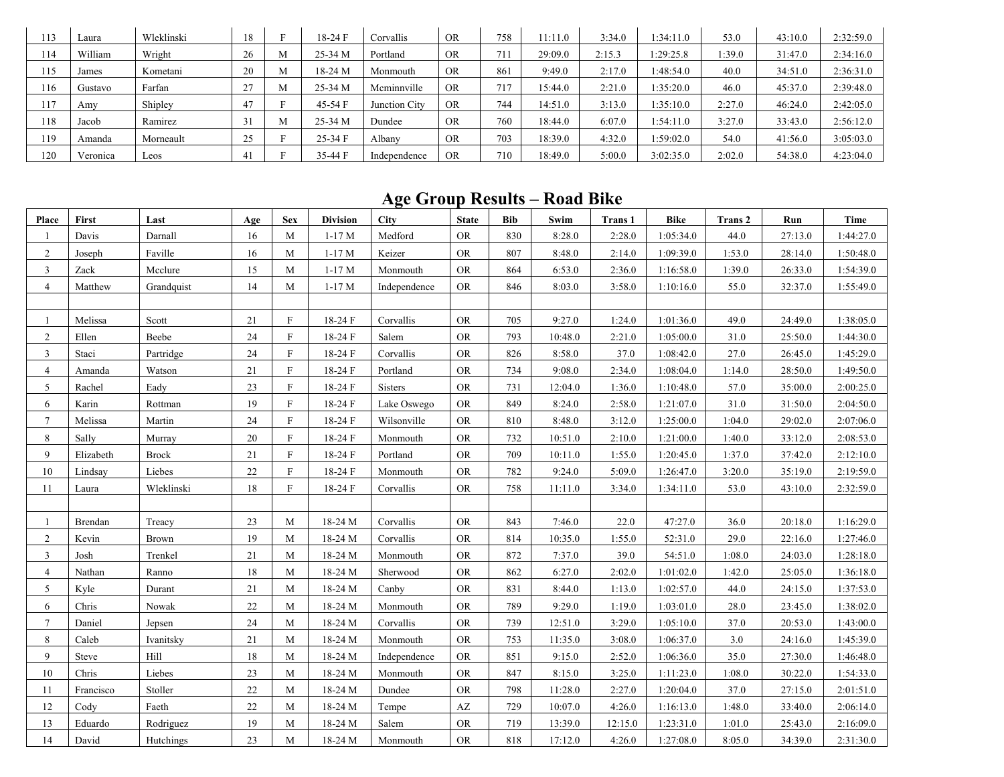| 13   | ∟aura    | Wleklinski | 18  |   | 18-24 F | Corvallis     | <b>OR</b> | 758             | 11:11.0 | 3:34.0 | $1:34:11$ . | 53.0   | 43:10.0 | 2:32:59.0 |
|------|----------|------------|-----|---|---------|---------------|-----------|-----------------|---------|--------|-------------|--------|---------|-----------|
| 114  | William  | Wright     | 26  | М | 25-34 M | Portland      | <b>OR</b> | 711             | 29:09.0 | 2:15.3 | 1:29:25.8   | :39.0  | 31:47.0 | 2:34:16.0 |
| l 15 | James    | Kometani   | 20  | M | 18-24 M | Monmouth      | <b>OR</b> | 861             | 9:49.0  | 2:17.0 | 1:48:54.0   | 40.0   | 34:51.0 | 2:36:31.0 |
| 116  | Gustavo  | Farfan     | ا ک | М | 25-34 M | Mcminnville   | <b>OR</b> | 71 <sup>o</sup> | 15:44.0 | 2:21.0 | 1:35:20.0   | 46.0   | 45:37.0 | 2:39:48.0 |
| 117  | Amy      | Shipley    | 47  |   | 45-54 F | Junction City | <b>OR</b> | 744             | 14:51.0 | 3:13.0 | 1:35:10.0   | 2:27.0 | 46:24.0 | 2:42:05.0 |
| 118  | Jacob    | Ramirez    |     | M | 25-34 M | Dundee        | <b>OR</b> | 760             | 18:44.0 | 6:07.0 | 1:54:11.0   | 3:27.0 | 33:43.0 | 2:56:12.0 |
| l 19 | Amanda   | Morneault  | 25  |   | 25-34 F | Albany        | <b>OR</b> | 703             | 18:39.0 | 4:32.0 | 1:59:02.0   | 54.0   | 41:56.0 | 3:05:03.0 |
| 120  | Veronica | Leos       |     |   | 35-44 F | Independence  | <b>OR</b> | 710             | 18:49.0 | 5:00.0 | 3:02:35.0   | 2:02.0 | 54:38.0 | 4:23:04.0 |

## **Age Group Results – Road Bike**

| Place           | First     | Last         | Age | <b>Sex</b>   | <b>Division</b> | <b>City</b>  | <b>State</b>           | <b>Bib</b> | Swim    | <b>Trans 1</b> | <b>Bike</b> | Trans 2 | Run     | Time      |
|-----------------|-----------|--------------|-----|--------------|-----------------|--------------|------------------------|------------|---------|----------------|-------------|---------|---------|-----------|
|                 | Davis     | Darnall      | 16  | M            | $1-17M$         | Medford      | <b>OR</b>              | 830        | 8:28.0  | 2:28.0         | 1:05:34.0   | 44.0    | 27:13.0 | 1:44:27.0 |
| $\overline{2}$  | Joseph    | Faville      | 16  | M            | $1-17M$         | Keizer       | <b>OR</b>              | 807        | 8:48.0  | 2:14.0         | 1:09:39.0   | 1:53.0  | 28:14.0 | 1:50:48.0 |
| 3               | Zack      | Mcclure      | 15  | M            | $1-17M$         | Monmouth     | <b>OR</b>              | 864        | 6:53.0  | 2:36.0         | 1:16:58.0   | 1:39.0  | 26:33.0 | 1:54:39.0 |
| $\overline{4}$  | Matthew   | Grandquist   | 14  | M            | $1-17M$         | Independence | ${\rm OR}$             | 846        | 8:03.0  | 3:58.0         | 1:10:16.0   | 55.0    | 32:37.0 | 1:55:49.0 |
|                 |           |              |     |              |                 |              |                        |            |         |                |             |         |         |           |
|                 | Melissa   | Scott        | 21  | $\mathbf{F}$ | 18-24 F         | Corvallis    | ${\rm OR}$             | 705        | 9:27.0  | 1:24.0         | 1:01:36.0   | 49.0    | 24:49.0 | 1:38:05.0 |
| $\overline{2}$  | Ellen     | Beebe        | 24  | $\mathbf{F}$ | 18-24 F         | Salem        | ${\rm OR}$             | 793        | 10:48.0 | 2:21.0         | 1:05:00.0   | 31.0    | 25:50.0 | 1:44:30.0 |
| $\overline{3}$  | Staci     | Partridge    | 24  | $\mathbf{F}$ | 18-24 F         | Corvallis    | <b>OR</b>              | 826        | 8:58.0  | 37.0           | 1:08:42.0   | 27.0    | 26:45.0 | 1:45:29.0 |
| $\overline{4}$  | Amanda    | Watson       | 21  | F            | 18-24 F         | Portland     | ${\rm OR}$             | 734        | 9:08.0  | 2:34.0         | 1:08:04.0   | 1:14.0  | 28:50.0 | 1:49:50.0 |
| 5               | Rachel    | Eady         | 23  | $\mathbf{F}$ | 18-24 F         | Sisters      | ${\rm OR}$             | 731        | 12:04.0 | 1:36.0         | 1:10:48.0   | 57.0    | 35:00.0 | 2:00:25.0 |
| 6               | Karin     | Rottman      | 19  | $\mathbf{F}$ | 18-24 F         | Lake Oswego  | <b>OR</b>              | 849        | 8:24.0  | 2:58.0         | 1:21:07.0   | 31.0    | 31:50.0 | 2:04:50.0 |
| $7\phantom{.0}$ | Melissa   | Martin       | 24  | $\mathbf{F}$ | 18-24 F         | Wilsonville  | ${\rm OR}$             | 810        | 8:48.0  | 3:12.0         | 1:25:00.0   | 1:04.0  | 29:02.0 | 2:07:06.0 |
| 8               | Sally     | Murray       | 20  | $\mathbf{F}$ | 18-24 F         | Monmouth     | <b>OR</b>              | 732        | 10:51.0 | 2:10.0         | 1:21:00.0   | 1:40.0  | 33:12.0 | 2:08:53.0 |
| 9               | Elizabeth | <b>Brock</b> | 21  | $\mathbf{F}$ | 18-24 F         | Portland     | <b>OR</b>              | 709        | 10:11.0 | 1:55.0         | 1:20:45.0   | 1:37.0  | 37:42.0 | 2:12:10.0 |
| 10              | Lindsay   | Liebes       | 22  | $\mathbf F$  | 18-24 F         | Monmouth     | <b>OR</b>              | 782        | 9:24.0  | 5:09.0         | 1:26:47.0   | 3:20.0  | 35:19.0 | 2:19:59.0 |
| 11              | Laura     | Wleklinski   | 18  | F            | 18-24 F         | Corvallis    | ${\rm OR}$             | 758        | 11:11.0 | 3:34.0         | 1:34:11.0   | 53.0    | 43:10.0 | 2:32:59.0 |
|                 |           |              |     |              |                 |              |                        |            |         |                |             |         |         |           |
|                 | Brendan   | Treacy       | 23  | M            | 18-24 M         | Corvallis    | <b>OR</b>              | 843        | 7:46.0  | 22.0           | 47:27.0     | 36.0    | 20:18.0 | 1:16:29.0 |
| 2               | Kevin     | Brown        | 19  | M            | 18-24 M         | Corvallis    | <b>OR</b>              | 814        | 10:35.0 | 1:55.0         | 52:31.0     | 29.0    | 22:16.0 | 1:27:46.0 |
| $\overline{3}$  | Josh      | Trenkel      | 21  | M            | 18-24 M         | Monmouth     | <b>OR</b>              | 872        | 7:37.0  | 39.0           | 54:51.0     | 1:08.0  | 24:03.0 | 1:28:18.0 |
| $\overline{4}$  | Nathan    | Ranno        | 18  | $\mathbf{M}$ | 18-24 M         | Sherwood     | <b>OR</b>              | 862        | 6:27.0  | 2:02.0         | 1:01:02.0   | 1:42.0  | 25:05.0 | 1:36:18.0 |
| 5               | Kyle      | Durant       | 21  | $\mathbf M$  | 18-24 M         | Canby        | ${\rm OR}$             | 831        | 8:44.0  | 1:13.0         | 1:02:57.0   | 44.0    | 24:15.0 | 1:37:53.0 |
| 6               | Chris     | Nowak        | 22  | M            | 18-24 M         | Monmouth     | <b>OR</b>              | 789        | 9:29.0  | 1:19.0         | 1:03:01.0   | 28.0    | 23:45.0 | 1:38:02.0 |
| $7\overline{ }$ | Daniel    | Jepsen       | 24  | $\mathbf{M}$ | 18-24 M         | Corvallis    | ${\rm OR}$             | 739        | 12:51.0 | 3:29.0         | 1:05:10.0   | 37.0    | 20:53.0 | 1:43:00.0 |
| 8               | Caleb     | Ivanitsky    | 21  | M            | 18-24 M         | Monmouth     | ${\rm OR}$             | 753        | 11:35.0 | 3:08.0         | 1:06:37.0   | 3.0     | 24:16.0 | 1:45:39.0 |
| 9               | Steve     | Hill         | 18  | М            | 18-24 M         | Independence | <b>OR</b>              | 851        | 9:15.0  | 2:52.0         | 1:06:36.0   | 35.0    | 27:30.0 | 1:46:48.0 |
| 10              | Chris     | Liebes       | 23  | $\mathbf{M}$ | 18-24 M         | Monmouth     | <b>OR</b>              | 847        | 8:15.0  | 3:25.0         | 1:11:23.0   | 1:08.0  | 30:22.0 | 1:54:33.0 |
| 11              | Francisco | Stoller      | 22  | $\mathbf M$  | 18-24 M         | Dundee       | <b>OR</b>              | 798        | 11:28.0 | 2:27.0         | 1:20:04.0   | 37.0    | 27:15.0 | 2:01:51.0 |
| 12              | Cody      | Faeth        | 22  | M            | 18-24 M         | Tempe        | $\mathbf{A}\mathbf{Z}$ | 729        | 10:07.0 | 4:26.0         | 1:16:13.0   | 1:48.0  | 33:40.0 | 2:06:14.0 |
| 13              | Eduardo   | Rodriguez    | 19  | M            | 18-24 M         | Salem        | <b>OR</b>              | 719        | 13:39.0 | 12:15.0        | 1:23:31.0   | 1:01.0  | 25:43.0 | 2:16:09.0 |
| 14              | David     | Hutchings    | 23  | M            | 18-24 M         | Monmouth     | ${\rm OR}$             | 818        | 17:12.0 | 4:26.0         | 1:27:08.0   | 8:05.0  | 34:39.0 | 2:31:30.0 |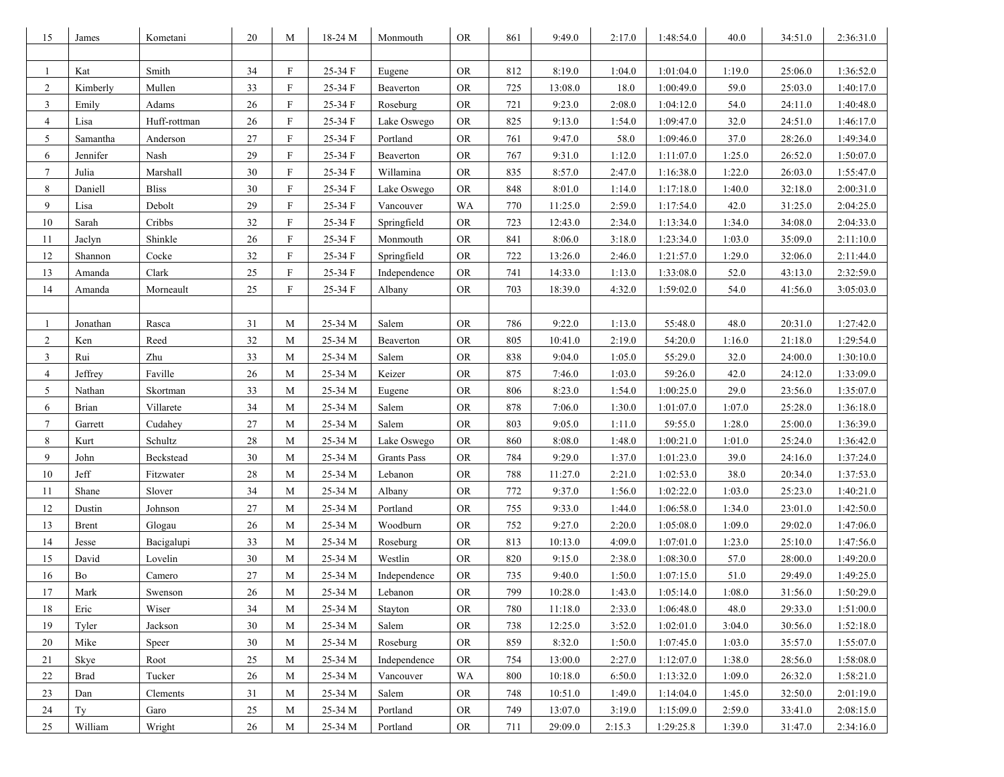| 15             | James        | Kometani     | 20     | M            | 18-24 M | Monmouth           | <b>OR</b>  | 861 | 9:49.0  | 2:17.0 | 1:48:54.0 | 40.0   | 34:51.0 | 2:36:31.0 |
|----------------|--------------|--------------|--------|--------------|---------|--------------------|------------|-----|---------|--------|-----------|--------|---------|-----------|
|                |              |              |        |              |         |                    |            |     |         |        |           |        |         |           |
| 1              | Kat          | Smith        | 34     | F            | 25-34 F | Eugene             | <b>OR</b>  | 812 | 8:19.0  | 1:04.0 | 1:01:04.0 | 1:19.0 | 25:06.0 | 1:36:52.0 |
| $\overline{2}$ | Kimberly     | Mullen       | 33     | F            | 25-34 F | Beaverton          | <b>OR</b>  | 725 | 13:08.0 | 18.0   | 1:00:49.0 | 59.0   | 25:03.0 | 1:40:17.0 |
| 3              | Emily        | Adams        | 26     | $_{\rm F}$   | 25-34 F | Roseburg           | ${\rm OR}$ | 721 | 9:23.0  | 2:08.0 | 1:04:12.0 | 54.0   | 24:11.0 | 1:40:48.0 |
| $\overline{4}$ | Lisa         | Huff-rottman | 26     | $\mathbf{F}$ | 25-34 F | Lake Oswego        | <b>OR</b>  | 825 | 9:13.0  | 1:54.0 | 1:09:47.0 | 32.0   | 24:51.0 | 1:46:17.0 |
| 5              | Samantha     | Anderson     | 27     | F            | 25-34 F | Portland           | <b>OR</b>  | 761 | 9:47.0  | 58.0   | 1:09:46.0 | 37.0   | 28:26.0 | 1:49:34.0 |
| 6              | Jennifer     | Nash         | 29     | F            | 25-34 F | Beaverton          | <b>OR</b>  | 767 | 9:31.0  | 1:12.0 | 1:11:07.0 | 1:25.0 | 26:52.0 | 1:50:07.0 |
| $\tau$         | Julia        | Marshall     | 30     | F            | 25-34 F | Willamina          | <b>OR</b>  | 835 | 8:57.0  | 2:47.0 | 1:16:38.0 | 1:22.0 | 26:03.0 | 1:55:47.0 |
| 8              | Daniell      | <b>Bliss</b> | 30     | F            | 25-34 F | Lake Oswego        | <b>OR</b>  | 848 | 8:01.0  | 1:14.0 | 1:17:18.0 | 1:40.0 | 32:18.0 | 2:00:31.0 |
| 9              | Lisa         | Debolt       | 29     | $\mathbf{F}$ | 25-34 F | Vancouver          | WA         | 770 | 11:25.0 | 2:59.0 | 1:17:54.0 | 42.0   | 31:25.0 | 2:04:25.0 |
| 10             | Sarah        | Cribbs       | 32     | F            | 25-34 F | Springfield        | <b>OR</b>  | 723 | 12:43.0 | 2:34.0 | 1:13:34.0 | 1:34.0 | 34:08.0 | 2:04:33.0 |
| 11             | Jaclyn       | Shinkle      | 26     | F            | 25-34 F | Monmouth           | OR.        | 841 | 8:06.0  | 3:18.0 | 1:23:34.0 | 1:03.0 | 35:09.0 | 2:11:10.0 |
| 12             | Shannon      | Cocke        | 32     | F            | 25-34 F | Springfield        | <b>OR</b>  | 722 | 13:26.0 | 2:46.0 | 1:21:57.0 | 1:29.0 | 32:06.0 | 2:11:44.0 |
| 13             | Amanda       | Clark        | $25\,$ | $_{\rm F}$   | 25-34 F | Independence       | <b>OR</b>  | 741 | 14:33.0 | 1:13.0 | 1:33:08.0 | 52.0   | 43:13.0 | 2:32:59.0 |
| 14             | Amanda       | Morneault    | 25     | F            | 25-34 F | Albany             | ${\rm OR}$ | 703 | 18:39.0 | 4:32.0 | 1:59:02.0 | 54.0   | 41:56.0 | 3:05:03.0 |
|                |              |              |        |              |         |                    |            |     |         |        |           |        |         |           |
| 1              | Jonathan     | Rasca        | 31     | M            | 25-34 M | Salem              | <b>OR</b>  | 786 | 9:22.0  | 1:13.0 | 55:48.0   | 48.0   | 20:31.0 | 1:27:42.0 |
| 2              | Ken          | Reed         | 32     | M            | 25-34 M | Beaverton          | <b>OR</b>  | 805 | 10:41.0 | 2:19.0 | 54:20.0   | 1:16.0 | 21:18.0 | 1:29:54.0 |
| 3              | Rui          | Zhu          | 33     | M            | 25-34 M | Salem              | <b>OR</b>  | 838 | 9:04.0  | 1:05.0 | 55:29.0   | 32.0   | 24:00.0 | 1:30:10.0 |
| 4              | Jeffrey      | Faville      | 26     | M            | 25-34 M | Keizer             | <b>OR</b>  | 875 | 7:46.0  | 1:03.0 | 59:26.0   | 42.0   | 24:12.0 | 1:33:09.0 |
| 5              | Nathan       | Skortman     | 33     | M            | 25-34 M | Eugene             | <b>OR</b>  | 806 | 8:23.0  | 1:54.0 | 1:00:25.0 | 29.0   | 23:56.0 | 1:35:07.0 |
| 6              | <b>Brian</b> | Villarete    | 34     | M            | 25-34 M | Salem              | <b>OR</b>  | 878 | 7:06.0  | 1:30.0 | 1:01:07.0 | 1:07.0 | 25:28.0 | 1:36:18.0 |
| $\tau$         | Garrett      | Cudahey      | 27     | M            | 25-34 M | Salem              | ${\rm OR}$ | 803 | 9:05.0  | 1:11.0 | 59:55.0   | 1:28.0 | 25:00.0 | 1:36:39.0 |
| 8              | Kurt         | Schultz      | 28     | M            | 25-34 M | Lake Oswego        | <b>OR</b>  | 860 | 8:08.0  | 1:48.0 | 1:00:21.0 | 1:01.0 | 25:24.0 | 1:36:42.0 |
| 9              | John         | Beckstead    | 30     | M            | 25-34 M | <b>Grants Pass</b> | <b>OR</b>  | 784 | 9:29.0  | 1:37.0 | 1:01:23.0 | 39.0   | 24:16.0 | 1:37:24.0 |
| 10             | Jeff         | Fitzwater    | 28     | M            | 25-34 M | Lebanon            | <b>OR</b>  | 788 | 11:27.0 | 2:21.0 | 1:02:53.0 | 38.0   | 20:34.0 | 1:37:53.0 |
| 11             | Shane        | Slover       | 34     | M            | 25-34 M | Albany             | <b>OR</b>  | 772 | 9:37.0  | 1:56.0 | 1:02:22.0 | 1:03.0 | 25:23.0 | 1:40:21.0 |
| 12             | Dustin       | Johnson      | 27     | M            | 25-34 M | Portland           | <b>OR</b>  | 755 | 9:33.0  | 1:44.0 | 1:06:58.0 | 1:34.0 | 23:01.0 | 1:42:50.0 |
| 13             | Brent        | Glogau       | 26     | M            | 25-34 M | Woodburn           | <b>OR</b>  | 752 | 9:27.0  | 2:20.0 | 1:05:08.0 | 1:09.0 | 29:02.0 | 1:47:06.0 |
| 14             | Jesse        | Bacigalupi   | 33     | M            | 25-34 M | Roseburg           | <b>OR</b>  | 813 | 10:13.0 | 4:09.0 | 1:07:01.0 | 1:23.0 | 25:10.0 | 1:47:56.0 |
| 15             | David        | Lovelin      | 30     | M            | 25-34 M | Westlin            | <b>OR</b>  | 820 | 9:15.0  | 2:38.0 | 1:08:30.0 | 57.0   | 28:00.0 | 1:49:20.0 |
| 16             | Bo           | Camero       | 27     | M            | 25-34 M | Independence       | <b>OR</b>  | 735 | 9:40.0  | 1:50.0 | 1:07:15.0 | 51.0   | 29:49.0 | 1:49:25.0 |
| $17\,$         | Mark         | Swenson      | $26\,$ | $\mathbf M$  | 25-34 M | Lebanon            | ${\rm OR}$ | 799 | 10:28.0 | 1:43.0 | 1:05:14.0 | 1:08.0 | 31:56.0 | 1:50:29.0 |
| 18             | Eric         | Wiser        | 34     | M            | 25-34 M | Stayton            | <b>OR</b>  | 780 | 11:18.0 | 2:33.0 | 1:06:48.0 | 48.0   | 29:33.0 | 1:51:00.0 |
| 19             | Tyler        | Jackson      | 30     | M            | 25-34 M | Salem              | <b>OR</b>  | 738 | 12:25.0 | 3:52.0 | 1:02:01.0 | 3:04.0 | 30:56.0 | 1:52:18.0 |
| 20             | Mike         | Speer        | 30     | M            | 25-34 M | Roseburg           | <b>OR</b>  | 859 | 8:32.0  | 1:50.0 | 1:07:45.0 | 1:03.0 | 35:57.0 | 1:55:07.0 |
| 21             | Skye         | Root         | 25     | M            | 25-34 M | Independence       | <b>OR</b>  | 754 | 13:00.0 | 2:27.0 | 1:12:07.0 | 1:38.0 | 28:56.0 | 1:58:08.0 |
| $22\,$         | <b>Brad</b>  | Tucker       | 26     | M            | 25-34 M | Vancouver          | WA         | 800 | 10:18.0 | 6:50.0 | 1:13:32.0 | 1:09.0 | 26:32.0 | 1:58:21.0 |
| 23             | Dan          | Clements     | 31     | M            | 25-34 M | Salem              | <b>OR</b>  | 748 | 10:51.0 | 1:49.0 | 1:14:04.0 | 1:45.0 | 32:50.0 | 2:01:19.0 |
| $24\,$         | Ty           | Garo         | $25\,$ | M            | 25-34 M | Portland           | ${\rm OR}$ | 749 | 13:07.0 | 3:19.0 | 1:15:09.0 | 2:59.0 | 33:41.0 | 2:08:15.0 |
| 25             | William      | Wright       | 26     | M            | 25-34 M | Portland           | ${\rm OR}$ | 711 | 29:09.0 | 2:15.3 | 1:29:25.8 | 1:39.0 | 31:47.0 | 2:34:16.0 |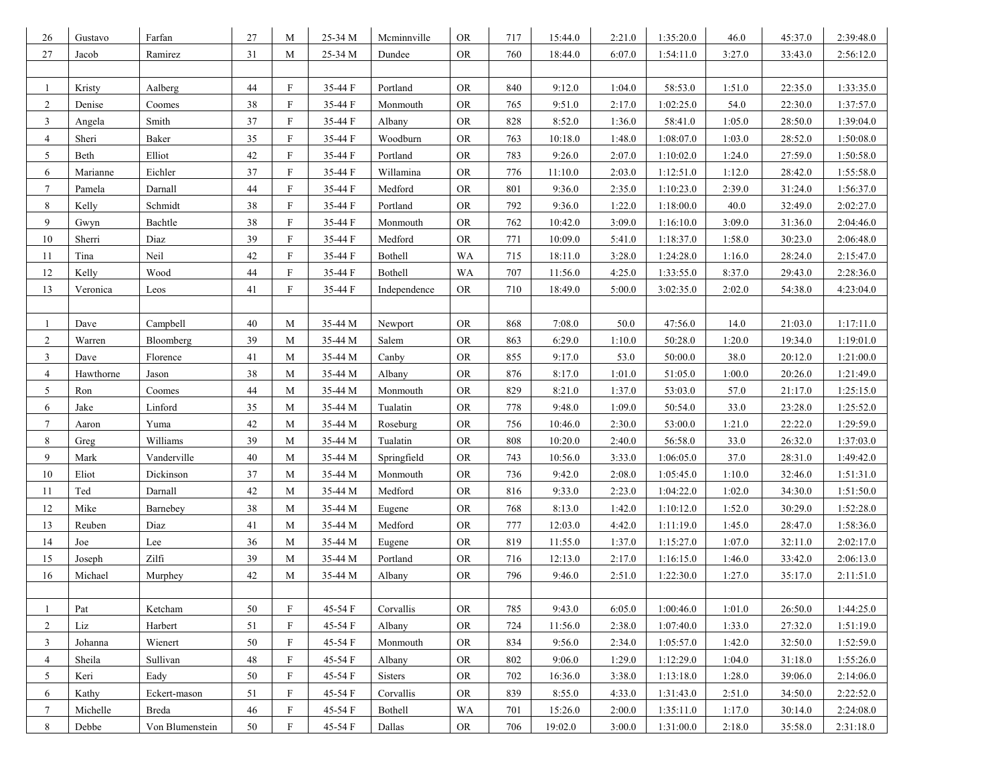| 26             | Gustavo   | Farfan          | 27     | M                         | 25-34 M | Mcminnville    | ${\rm OR}$              | 717 | 15:44.0 | 2:21.0 | 1:35:20.0 | 46.0   | 45:37.0 | 2:39:48.0 |
|----------------|-----------|-----------------|--------|---------------------------|---------|----------------|-------------------------|-----|---------|--------|-----------|--------|---------|-----------|
| $27\,$         | Jacob     | Ramirez         | 31     | M                         | 25-34 M | Dundee         | <b>OR</b>               | 760 | 18:44.0 | 6:07.0 | 1:54:11.0 | 3:27.0 | 33:43.0 | 2:56:12.0 |
|                |           |                 |        |                           |         |                |                         |     |         |        |           |        |         |           |
| 1              | Kristy    | Aalberg         | 44     | F                         | 35-44 F | Portland       | <b>OR</b>               | 840 | 9:12.0  | 1:04.0 | 58:53.0   | 1:51.0 | 22:35.0 | 1:33:35.0 |
| $\overline{2}$ | Denise    | Coomes          | 38     | F                         | 35-44 F | Monmouth       | <b>OR</b>               | 765 | 9:51.0  | 2:17.0 | 1:02:25.0 | 54.0   | 22:30.0 | 1:37:57.0 |
| $\mathbf{3}$   | Angela    | Smith           | $37\,$ | $\boldsymbol{\mathrm{F}}$ | 35-44 F | Albany         | <b>OR</b>               | 828 | 8:52.0  | 1:36.0 | 58:41.0   | 1:05.0 | 28:50.0 | 1:39:04.0 |
| $\overline{4}$ | Sheri     | Baker           | 35     | F                         | 35-44 F | Woodburn       | ${\rm OR}$              | 763 | 10:18.0 | 1:48.0 | 1:08:07.0 | 1:03.0 | 28:52.0 | 1:50:08.0 |
| 5              | Beth      | Elliot          | 42     | $\mathbf{F}$              | 35-44 F | Portland       | <b>OR</b>               | 783 | 9:26.0  | 2:07.0 | 1:10:02.0 | 1:24.0 | 27:59.0 | 1:50:58.0 |
| 6              | Marianne  | Eichler         | 37     | $\mathbf{F}$              | 35-44 F | Willamina      | <b>OR</b>               | 776 | 11:10.0 | 2:03.0 | 1:12:51.0 | 1:12.0 | 28:42.0 | 1:55:58.0 |
| $\tau$         | Pamela    | Darnall         | 44     | F                         | 35-44 F | Medford        | $\mathcal{O}\mathbb{R}$ | 801 | 9:36.0  | 2:35.0 | 1:10:23.0 | 2:39.0 | 31:24.0 | 1:56:37.0 |
| 8              | Kelly     | Schmidt         | 38     | F                         | 35-44 F | Portland       | <b>OR</b>               | 792 | 9:36.0  | 1:22.0 | 1:18:00.0 | 40.0   | 32:49.0 | 2:02:27.0 |
| 9              | Gwyn      | Bachtle         | 38     | F                         | 35-44 F | Monmouth       | <b>OR</b>               | 762 | 10:42.0 | 3:09.0 | 1:16:10.0 | 3:09.0 | 31:36.0 | 2:04:46.0 |
| 10             | Sherri    | Diaz            | 39     | F                         | 35-44 F | Medford        | <b>OR</b>               | 771 | 10:09.0 | 5:41.0 | 1:18:37.0 | 1:58.0 | 30:23.0 | 2:06:48.0 |
| 11             | Tina      | Neil            | 42     | F                         | 35-44 F | Bothell        | WA                      | 715 | 18:11.0 | 3:28.0 | 1:24:28.0 | 1:16.0 | 28:24.0 | 2:15:47.0 |
| $12\,$         | Kelly     | Wood            | 44     | F                         | 35-44 F | Bothell        | WA                      | 707 | 11:56.0 | 4:25.0 | 1:33:55.0 | 8:37.0 | 29:43.0 | 2:28:36.0 |
| 13             | Veronica  | Leos            | 41     | F                         | 35-44 F | Independence   | <b>OR</b>               | 710 | 18:49.0 | 5:00.0 | 3:02:35.0 | 2:02.0 | 54:38.0 | 4:23:04.0 |
|                |           |                 |        |                           |         |                |                         |     |         |        |           |        |         |           |
| 1              | Dave      | Campbell        | 40     | M                         | 35-44 M | Newport        | ${\rm OR}$              | 868 | 7:08.0  | 50.0   | 47:56.0   | 14.0   | 21:03.0 | 1:17:11.0 |
| $\overline{c}$ | Warren    | Bloomberg       | 39     | M                         | 35-44 M | Salem          | ${\rm OR}$              | 863 | 6:29.0  | 1:10.0 | 50:28.0   | 1:20.0 | 19:34.0 | 1:19:01.0 |
| 3              | Dave      | Florence        | 41     | M                         | 35-44 M | Canby          | ${\rm OR}$              | 855 | 9:17.0  | 53.0   | 50:00.0   | 38.0   | 20:12.0 | 1:21:00.0 |
| 4              | Hawthorne | Jason           | 38     | M                         | 35-44 M | Albany         | <b>OR</b>               | 876 | 8:17.0  | 1:01.0 | 51:05.0   | 1:00.0 | 20:26.0 | 1:21:49.0 |
| 5              | Ron       | Coomes          | 44     | M                         | 35-44 M | Monmouth       | <b>OR</b>               | 829 | 8:21.0  | 1:37.0 | 53:03.0   | 57.0   | 21:17.0 | 1:25:15.0 |
| 6              | Jake      | Linford         | 35     | M                         | 35-44 M | Tualatin       | <b>OR</b>               | 778 | 9:48.0  | 1:09.0 | 50:54.0   | 33.0   | 23:28.0 | 1:25:52.0 |
| 7              | Aaron     | Yuma            | 42     | M                         | 35-44 M | Roseburg       | ${\rm OR}$              | 756 | 10:46.0 | 2:30.0 | 53:00.0   | 1:21.0 | 22:22.0 | 1:29:59.0 |
| 8              | Greg      | Williams        | 39     | M                         | 35-44 M | Tualatin       | <b>OR</b>               | 808 | 10:20.0 | 2:40.0 | 56:58.0   | 33.0   | 26:32.0 | 1:37:03.0 |
| 9              | Mark      | Vanderville     | 40     | M                         | 35-44 M | Springfield    | ${\rm OR}$              | 743 | 10:56.0 | 3:33.0 | 1:06:05.0 | 37.0   | 28:31.0 | 1:49:42.0 |
| 10             | Eliot     | Dickinson       | 37     | M                         | 35-44 M | Monmouth       | ${\rm OR}$              | 736 | 9:42.0  | 2:08.0 | 1:05:45.0 | 1:10.0 | 32:46.0 | 1:51:31.0 |
| 11             | Ted       | Darnall         | 42     | M                         | 35-44 M | Medford        | <b>OR</b>               | 816 | 9:33.0  | 2:23.0 | 1:04:22.0 | 1:02.0 | 34:30.0 | 1:51:50.0 |
| 12             | Mike      | Barnebey        | 38     | M                         | 35-44 M | Eugene         | $\mathcal{O}\mathbb{R}$ | 768 | 8:13.0  | 1:42.0 | 1:10:12.0 | 1:52.0 | 30:29.0 | 1:52:28.0 |
| 13             | Reuben    | Diaz            | 41     | M                         | 35-44 M | Medford        | <b>OR</b>               | 777 | 12:03.0 | 4:42.0 | 1:11:19.0 | 1:45.0 | 28:47.0 | 1:58:36.0 |
| 14             | Joe       | Lee             | 36     | M                         | 35-44 M | Eugene         | <b>OR</b>               | 819 | 11:55.0 | 1:37.0 | 1:15:27.0 | 1:07.0 | 32:11.0 | 2:02:17.0 |
| 15             | Joseph    | Zilfi           | 39     | M                         | 35-44 M | Portland       | ${\rm OR}$              | 716 | 12:13.0 | 2:17.0 | 1:16:15.0 | 1:46.0 | 33:42.0 | 2:06:13.0 |
| 16             | Michael   | Murphey         | 42     | M                         | 35-44 M | Albany         | <b>OR</b>               | 796 | 9:46.0  | 2:51.0 | 1:22:30.0 | 1:27.0 | 35:17.0 | 2:11:51.0 |
|                |           |                 |        |                           |         |                |                         |     |         |        |           |        |         |           |
| 1              | Pat       | Ketcham         | 50     | F                         | 45-54 F | Corvallis      | <b>OR</b>               | 785 | 9:43.0  | 6:05.0 | 1:00:46.0 | 1:01.0 | 26:50.0 | 1:44:25.0 |
| 2              | Liz       | Harbert         | 51     | F                         | 45-54 F | Albany         | <b>OR</b>               | 724 | 11:56.0 | 2:38.0 | 1:07:40.0 | 1:33.0 | 27:32.0 | 1:51:19.0 |
| 3              | Johanna   | Wienert         | 50     | F                         | 45-54 F | Monmouth       | <b>OR</b>               | 834 | 9:56.0  | 2:34.0 | 1:05:57.0 | 1:42.0 | 32:50.0 | 1:52:59.0 |
| $\overline{4}$ | Sheila    | Sullivan        | 48     | $_{\rm F}$                | 45-54 F | Albany         | <b>OR</b>               | 802 | 9:06.0  | 1:29.0 | 1:12:29.0 | 1:04.0 | 31:18.0 | 1:55:26.0 |
| 5              | Keri      | Eady            | 50     | $_{\rm F}$                | 45-54 F | <b>Sisters</b> | <b>OR</b>               | 702 | 16:36.0 | 3:38.0 | 1:13:18.0 | 1:28.0 | 39:06.0 | 2:14:06.0 |
| 6              | Kathy     | Eckert-mason    | 51     | F                         | 45-54 F | Corvallis      | <b>OR</b>               | 839 | 8:55.0  | 4:33.0 | 1:31:43.0 | 2:51.0 | 34:50.0 | 2:22:52.0 |
| $\tau$         | Michelle  | Breda           | 46     | F                         | 45-54 F | Bothell        | WA                      | 701 | 15:26.0 | 2:00.0 | 1:35:11.0 | 1:17.0 | 30:14.0 | 2:24:08.0 |
| 8              | Debbe     | Von Blumenstein | 50     | $\boldsymbol{\mathrm{F}}$ | 45-54 F | Dallas         | ${\rm OR}$              | 706 | 19:02.0 | 3:00.0 | 1:31:00.0 | 2:18.0 | 35:58.0 | 2:31:18.0 |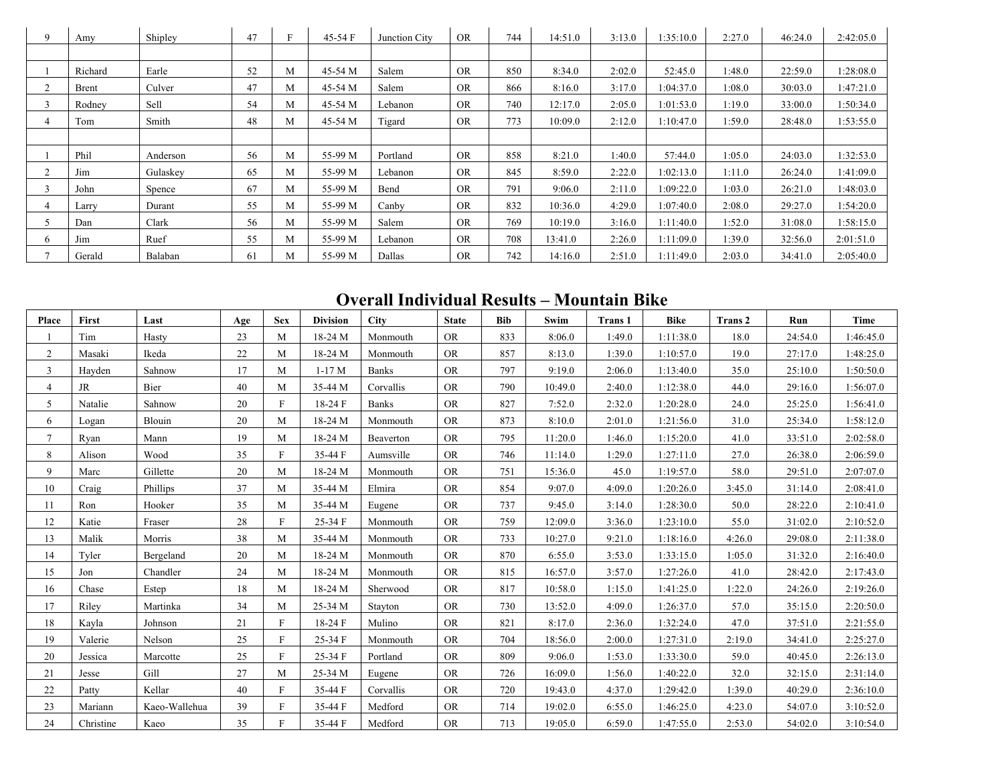|                | Amy     | Shipley  | 47 |   | $45-54$ F | Junction City | <b>OR</b> | 744 | 14:51.0 | 3:13.0 | 1:35:10.0 | 2:27.0 | 46:24.0 | 2:42:05.0 |
|----------------|---------|----------|----|---|-----------|---------------|-----------|-----|---------|--------|-----------|--------|---------|-----------|
|                |         |          |    |   |           |               |           |     |         |        |           |        |         |           |
|                | Richard | Earle    | 52 | M | 45-54 M   | Salem         | <b>OR</b> | 850 | 8:34.0  | 2:02.0 | 52:45.0   | 1:48.0 | 22:59.0 | 1:28:08.0 |
| 2              | Brent   | Culver   | 47 | М | 45-54 M   | Salem         | <b>OR</b> | 866 | 8:16.0  | 3:17.0 | 1:04:37.0 | 1:08.0 | 30:03.0 | 1:47:21.0 |
|                | Rodney  | Sell     | 54 | M | 45-54 M   | Lebanon       | <b>OR</b> | 740 | 12:17.0 | 2:05.0 | 1:01:53.0 | 1:19.0 | 33:00.0 | 1:50:34.0 |
| 4              | Tom     | Smith    | 48 | M | 45-54 M   | Tigard        | <b>OR</b> | 773 | 10:09.0 | 2:12.0 | 1:10:47.0 | 1:59.0 | 28:48.0 | 1:53:55.0 |
|                |         |          |    |   |           |               |           |     |         |        |           |        |         |           |
|                | Phil    | Anderson | 56 | M | 55-99 M   | Portland      | <b>OR</b> | 858 | 8:21.0  | 1:40.0 | 57:44.0   | 1:05.0 | 24:03.0 | 1:32:53.0 |
| $\overline{2}$ | Jim     | Gulaskev | 65 | M | 55-99 M   | Lebanon       | <b>OR</b> | 845 | 8:59.0  | 2:22.0 | 1:02:13.0 | 1:11.0 | 26:24.0 | 1:41:09.0 |
| $\sim$         | John    | Spence   | 67 | M | 55-99 M   | Bend          | <b>OR</b> | 791 | 9:06.0  | 2:11.0 | 1:09:22.0 | 1:03.0 | 26:21.0 | 1:48:03.0 |
| 4              | Larry   | Durant   | 55 | M | 55-99 M   | Canby         | <b>OR</b> | 832 | 10:36.0 | 4:29.0 | 1:07:40.0 | 2:08.0 | 29:27.0 | 1:54:20.0 |
| 5              | Dan     | Clark    | 56 | M | 55-99 M   | Salem         | <b>OR</b> | 769 | 10:19.0 | 3:16.0 | 1:11:40.0 | 1:52.0 | 31:08.0 | 1:58:15.0 |
| 6.             | Jim     | Ruef     | 55 | M | 55-99 M   | Lebanon       | <b>OR</b> | 708 | 13:41.0 | 2:26.0 | 1:11:09.0 | 1:39.0 | 32:56.0 | 2:01:51.0 |
| 7              | Gerald  | Balaban  | 61 | M | 55-99 M   | Dallas        | <b>OR</b> | 742 | 14:16.0 | 2:51.0 | 1:11:49.0 | 2:03.0 | 34:41.0 | 2:05:40.0 |

### **Overall Individual Results – Mountain Bike**

| Place          | First     | Last          | Age | <b>Sex</b> | <b>Division</b> | <b>City</b>  | <b>State</b> | <b>Bib</b> | Swim    | <b>Trans 1</b> | <b>Bike</b> | Trans 2 | Run     | <b>Time</b> |
|----------------|-----------|---------------|-----|------------|-----------------|--------------|--------------|------------|---------|----------------|-------------|---------|---------|-------------|
|                | Tim       | Hasty         | 23  | M          | 18-24 M         | Monmouth     | <b>OR</b>    | 833        | 8:06.0  | 1:49.0         | 1:11:38.0   | 18.0    | 24:54.0 | 1:46:45.0   |
| $\overline{2}$ | Masaki    | Ikeda         | 22  | M          | 18-24 M         | Monmouth     | <b>OR</b>    | 857        | 8:13.0  | 1:39.0         | 1:10:57.0   | 19.0    | 27:17.0 | 1:48:25.0   |
| 3              | Hayden    | Sahnow        | 17  | M          | $1-17M$         | <b>Banks</b> | <b>OR</b>    | 797        | 9:19.0  | 2:06.0         | 1:13:40.0   | 35.0    | 25:10.0 | 1:50:50.0   |
| 4              | JR        | Bier          | 40  | M          | 35-44 M         | Corvallis    | <b>OR</b>    | 790        | 10:49.0 | 2:40.0         | 1:12:38.0   | 44.0    | 29:16.0 | 1:56:07.0   |
| 5              | Natalie   | Sahnow        | 20  | F          | 18-24 F         | <b>Banks</b> | <b>OR</b>    | 827        | 7:52.0  | 2:32.0         | 1:20:28.0   | 24.0    | 25:25.0 | 1:56:41.0   |
| 6              | Logan     | Blouin        | 20  | M          | 18-24 M         | Monmouth     | <b>OR</b>    | 873        | 8:10.0  | 2:01.0         | 1:21:56.0   | 31.0    | 25:34.0 | 1:58:12.0   |
| $\tau$         | Ryan      | Mann          | 19  | М          | 18-24 M         | Beaverton    | <b>OR</b>    | 795        | 11:20.0 | 1:46.0         | 1:15:20.0   | 41.0    | 33:51.0 | 2:02:58.0   |
| 8              | Alison    | Wood          | 35  | F          | 35-44 F         | Aumsville    | <b>OR</b>    | 746        | 11:14.0 | 1:29.0         | 1:27:11.0   | 27.0    | 26:38.0 | 2:06:59.0   |
| 9              | Marc      | Gillette      | 20  | M          | 18-24 M         | Monmouth     | <b>OR</b>    | 751        | 15:36.0 | 45.0           | 1:19:57.0   | 58.0    | 29:51.0 | 2:07:07.0   |
| 10             | Craig     | Phillips      | 37  | M          | 35-44 M         | Elmira       | <b>OR</b>    | 854        | 9:07.0  | 4:09.0         | 1:20:26.0   | 3:45.0  | 31:14.0 | 2:08:41.0   |
| 11             | Ron       | Hooker        | 35  | M          | 35-44 M         | Eugene       | <b>OR</b>    | 737        | 9:45.0  | 3:14.0         | 1:28:30.0   | 50.0    | 28:22.0 | 2:10:41.0   |
| 12             | Katie     | Fraser        | 28  | F          | $25-34$ F       | Monmouth     | <b>OR</b>    | 759        | 12:09.0 | 3:36.0         | 1:23:10.0   | 55.0    | 31:02.0 | 2:10:52.0   |
| 13             | Malik     | Morris        | 38  | M          | 35-44 M         | Monmouth     | <b>OR</b>    | 733        | 10:27.0 | 9:21.0         | 1:18:16.0   | 4:26.0  | 29:08.0 | 2:11:38.0   |
| 14             | Tyler     | Bergeland     | 20  | M          | 18-24 M         | Monmouth     | <b>OR</b>    | 870        | 6:55.0  | 3:53.0         | 1:33:15.0   | 1:05.0  | 31:32.0 | 2:16:40.0   |
| 15             | Jon       | Chandler      | 24  | M          | 18-24 M         | Monmouth     | <b>OR</b>    | 815        | 16:57.0 | 3:57.0         | 1:27:26.0   | 41.0    | 28:42.0 | 2:17:43.0   |
| 16             | Chase     | Estep         | 18  | M          | 18-24 M         | Sherwood     | <b>OR</b>    | 817        | 10:58.0 | 1:15.0         | 1:41:25.0   | 1:22.0  | 24:26.0 | 2:19:26.0   |
| 17             | Riley     | Martinka      | 34  | M          | 25-34 M         | Stayton      | <b>OR</b>    | 730        | 13:52.0 | 4:09.0         | 1:26:37.0   | 57.0    | 35:15.0 | 2:20:50.0   |
| 18             | Kayla     | Johnson       | 21  | F          | 18-24 F         | Mulino       | <b>OR</b>    | 821        | 8:17.0  | 2:36.0         | 1:32:24.0   | 47.0    | 37:51.0 | 2:21:55.0   |
| 19             | Valerie   | Nelson        | 25  | F          | $25-34$ F       | Monmouth     | <b>OR</b>    | 704        | 18:56.0 | 2:00.0         | 1:27:31.0   | 2:19.0  | 34:41.0 | 2:25:27.0   |
| 20             | Jessica   | Marcotte      | 25  | F          | 25-34 F         | Portland     | <b>OR</b>    | 809        | 9:06.0  | 1:53.0         | 1:33:30.0   | 59.0    | 40:45.0 | 2:26:13.0   |
| 21             | Jesse     | Gill          | 27  | M          | 25-34 M         | Eugene       | <b>OR</b>    | 726        | 16:09.0 | 1:56.0         | 1:40:22.0   | 32.0    | 32:15.0 | 2:31:14.0   |
| 22             | Patty     | Kellar        | 40  | F          | 35-44 F         | Corvallis    | <b>OR</b>    | 720        | 19:43.0 | 4:37.0         | 1:29:42.0   | 1:39.0  | 40:29.0 | 2:36:10.0   |
| 23             | Mariann   | Kaeo-Wallehua | 39  | F          | 35-44 F         | Medford      | <b>OR</b>    | 714        | 19:02.0 | 6:55.0         | 1:46:25.0   | 4:23.0  | 54:07.0 | 3:10:52.0   |
| 24             | Christine | Kaeo          | 35  | F          | 35-44 F         | Medford      | <b>OR</b>    | 713        | 19:05.0 | 6:59.0         | 1:47:55.0   | 2:53.0  | 54:02.0 | 3:10:54.0   |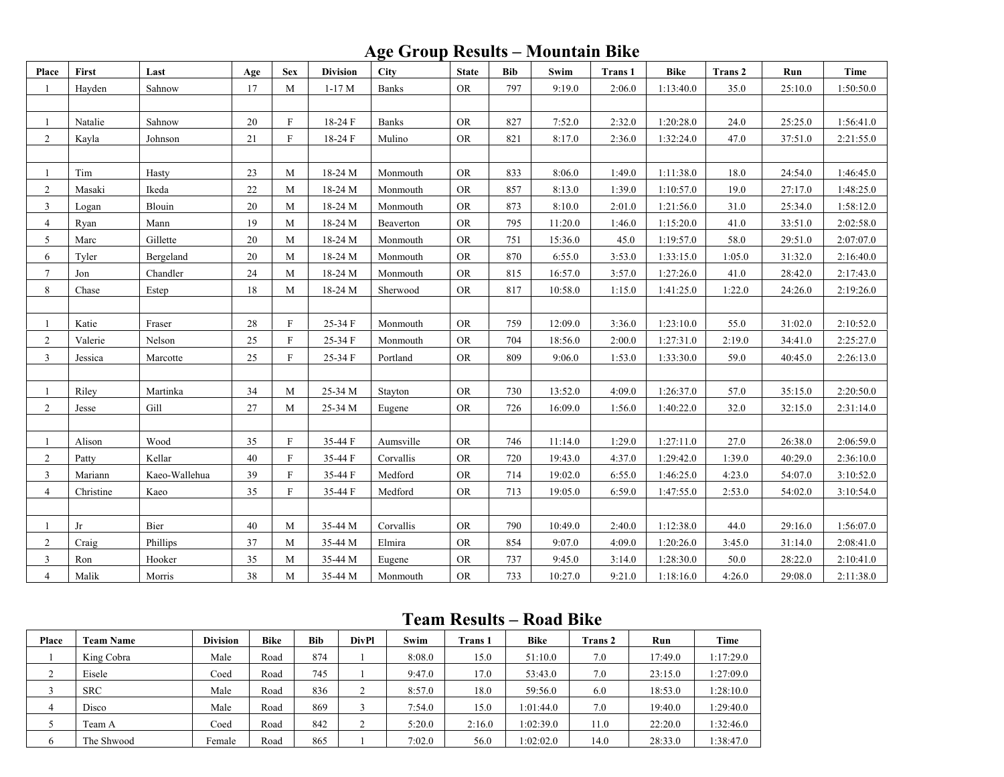### **Age Group Results – Mountain Bike**

| Place          | First     | Last          | Age    | <b>Sex</b>   | <b>Division</b> | <b>City</b>  | <b>State</b> | <b>Bib</b> | Swim    | Trans 1 | <b>Bike</b> | Trans 2 | Run     | <b>Time</b> |
|----------------|-----------|---------------|--------|--------------|-----------------|--------------|--------------|------------|---------|---------|-------------|---------|---------|-------------|
|                | Hayden    | Sahnow        | 17     | M            | $1-17M$         | <b>Banks</b> | <b>OR</b>    | 797        | 9:19.0  | 2:06.0  | 1:13:40.0   | 35.0    | 25:10.0 | 1:50:50.0   |
|                |           |               |        |              |                 |              |              |            |         |         |             |         |         |             |
| $\mathbf{1}$   | Natalie   | Sahnow        | 20     | $\mathbf{F}$ | 18-24 F         | <b>Banks</b> | <b>OR</b>    | 827        | 7:52.0  | 2:32.0  | 1:20:28.0   | 24.0    | 25:25.0 | 1:56:41.0   |
| $\overline{2}$ | Kayla     | Johnson       | $21\,$ | $\mathbf F$  | 18-24 F         | Mulino       | ${\rm OR}$   | 821        | 8:17.0  | 2:36.0  | 1:32:24.0   | 47.0    | 37:51.0 | 2:21:55.0   |
|                |           |               |        |              |                 |              |              |            |         |         |             |         |         |             |
| 1              | Tim       | Hasty         | 23     | M            | 18-24 M         | Monmouth     | <b>OR</b>    | 833        | 8:06.0  | 1:49.0  | 1:11:38.0   | 18.0    | 24:54.0 | 1:46:45.0   |
| $\overline{2}$ | Masaki    | Ikeda         | 22     | M            | 18-24 M         | Monmouth     | <b>OR</b>    | 857        | 8:13.0  | 1:39.0  | 1:10:57.0   | 19.0    | 27:17.0 | 1:48:25.0   |
| 3              | Logan     | Blouin        | 20     | M            | 18-24 M         | Monmouth     | ${\rm OR}$   | 873        | 8:10.0  | 2:01.0  | 1:21:56.0   | 31.0    | 25:34.0 | 1:58:12.0   |
| $\overline{4}$ | Ryan      | Mann          | 19     | M            | 18-24 M         | Beaverton    | <b>OR</b>    | 795        | 11:20.0 | 1:46.0  | 1:15:20.0   | 41.0    | 33:51.0 | 2:02:58.0   |
| 5              | Marc      | Gillette      | 20     | M            | 18-24 M         | Monmouth     | ${\rm OR}$   | 751        | 15:36.0 | 45.0    | 1:19:57.0   | 58.0    | 29:51.0 | 2:07:07.0   |
| 6              | Tyler     | Bergeland     | 20     | $\mathbf{M}$ | 18-24 M         | Monmouth     | <b>OR</b>    | 870        | 6:55.0  | 3:53.0  | 1:33:15.0   | 1:05.0  | 31:32.0 | 2:16:40.0   |
| $\tau$         | Jon       | Chandler      | 24     | M            | 18-24 M         | Monmouth     | <b>OR</b>    | 815        | 16:57.0 | 3:57.0  | 1:27:26.0   | 41.0    | 28:42.0 | 2:17:43.0   |
| 8              | Chase     | Estep         | 18     | M            | 18-24 M         | Sherwood     | <b>OR</b>    | 817        | 10:58.0 | 1:15.0  | 1:41:25.0   | 1:22.0  | 24:26.0 | 2:19:26.0   |
|                |           |               |        |              |                 |              |              |            |         |         |             |         |         |             |
| $\mathbf{1}$   | Katie     | Fraser        | 28     | $\rm F$      | 25-34 F         | Monmouth     | <b>OR</b>    | 759        | 12:09.0 | 3:36.0  | 1:23:10.0   | 55.0    | 31:02.0 | 2:10:52.0   |
| $\overline{2}$ | Valerie   | Nelson        | $25\,$ | $\mathbf{F}$ | 25-34 F         | Monmouth     | ${\rm OR}$   | 704        | 18:56.0 | 2:00.0  | 1:27:31.0   | 2:19.0  | 34:41.0 | 2:25:27.0   |
| $\overline{3}$ | Jessica   | Marcotte      | 25     | $\mathbf{F}$ | 25-34 F         | Portland     | <b>OR</b>    | 809        | 9:06.0  | 1:53.0  | 1:33:30.0   | 59.0    | 40:45.0 | 2:26:13.0   |
|                |           |               |        |              |                 |              |              |            |         |         |             |         |         |             |
|                | Riley     | Martinka      | 34     | M            | 25-34 M         | Stayton      | <b>OR</b>    | 730        | 13:52.0 | 4:09.0  | 1:26:37.0   | 57.0    | 35:15.0 | 2:20:50.0   |
| $\overline{2}$ | Jesse     | Gill          | 27     | $\mathbf{M}$ | 25-34 M         | Eugene       | <b>OR</b>    | 726        | 16:09.0 | 1:56.0  | 1:40:22.0   | 32.0    | 32:15.0 | 2:31:14.0   |
|                |           |               |        |              |                 |              |              |            |         |         |             |         |         |             |
| 1              | Alison    | Wood          | 35     | $\mathbf{F}$ | 35-44 F         | Aumsville    | <b>OR</b>    | 746        | 11:14.0 | 1:29.0  | 1:27:11.0   | 27.0    | 26:38.0 | 2:06:59.0   |
| $\overline{2}$ | Patty     | Kellar        | 40     | $\mathbf{F}$ | 35-44 F         | Corvallis    | <b>OR</b>    | 720        | 19:43.0 | 4:37.0  | 1:29:42.0   | 1:39.0  | 40:29.0 | 2:36:10.0   |
| $\overline{3}$ | Mariann   | Kaeo-Wallehua | 39     | $\mathbf{F}$ | 35-44 F         | Medford      | <b>OR</b>    | 714        | 19:02.0 | 6:55.0  | 1:46:25.0   | 4:23.0  | 54:07.0 | 3:10:52.0   |
| $\overline{4}$ | Christine | Kaeo          | 35     | F            | 35-44 F         | Medford      | <b>OR</b>    | 713        | 19:05.0 | 6:59.0  | 1:47:55.0   | 2:53.0  | 54:02.0 | 3:10:54.0   |
|                |           |               |        |              |                 |              |              |            |         |         |             |         |         |             |
| 1              | Jr        | Bier          | 40     | M            | 35-44 M         | Corvallis    | ${\rm OR}$   | 790        | 10:49.0 | 2:40.0  | 1:12:38.0   | 44.0    | 29:16.0 | 1:56:07.0   |
| $\overline{2}$ | Craig     | Phillips      | 37     | M            | 35-44 M         | Elmira       | <b>OR</b>    | 854        | 9:07.0  | 4:09.0  | 1:20:26.0   | 3:45.0  | 31:14.0 | 2:08:41.0   |
| 3              | Ron       | Hooker        | 35     | M            | 35-44 M         | Eugene       | ${\rm OR}$   | 737        | 9:45.0  | 3:14.0  | 1:28:30.0   | 50.0    | 28:22.0 | 2:10:41.0   |
| $\overline{4}$ | Malik     | Morris        | 38     | M            | 35-44 M         | Monmouth     | <b>OR</b>    | 733        | 10:27.0 | 9:21.0  | 1:18:16.0   | 4:26.0  | 29:08.0 | 2:11:38.0   |

#### **Team Results – Road Bike**

| Place | <b>Team Name</b> | <b>Division</b> | <b>Bike</b> | <b>Bib</b> | DivPl | Swim   | <b>Trans 1</b> | <b>Bike</b> | <b>Trans 2</b> | Run     | Time      |
|-------|------------------|-----------------|-------------|------------|-------|--------|----------------|-------------|----------------|---------|-----------|
|       | King Cobra       | Male            | Road        | 874        |       | 8:08.0 | 15.0           | 51:10.0     | 7.0            | 17:49.0 | 1:17:29.0 |
|       | Eisele           | Coed            | Road        | 745        |       | 9:47.0 | 17.0           | 53:43.0     | 7.0            | 23:15.0 | 1:27:09.0 |
|       | <b>SRC</b>       | Male            | Road        | 836        |       | 8:57.0 | 18.0           | 59:56.0     | 6.0            | 18:53.0 | 1:28:10.0 |
| 4     | Disco            | Male            | Road        | 869        |       | 7:54.0 | 15.0           | 1:01:44.0   | 7.0            | 19:40.0 | 1:29:40.0 |
|       | Team A           | Coed            | Road        | 842        | ∠     | 5:20.0 | 2:16.0         | 1:02:39.0   | 11.0           | 22:20.0 | 1:32:46.0 |
| O     | The Shwood       | Female          | Road        | 865        |       | 7:02.0 | 56.0           | 1:02:02.0   | 14.0           | 28:33.0 | 1:38:47.0 |